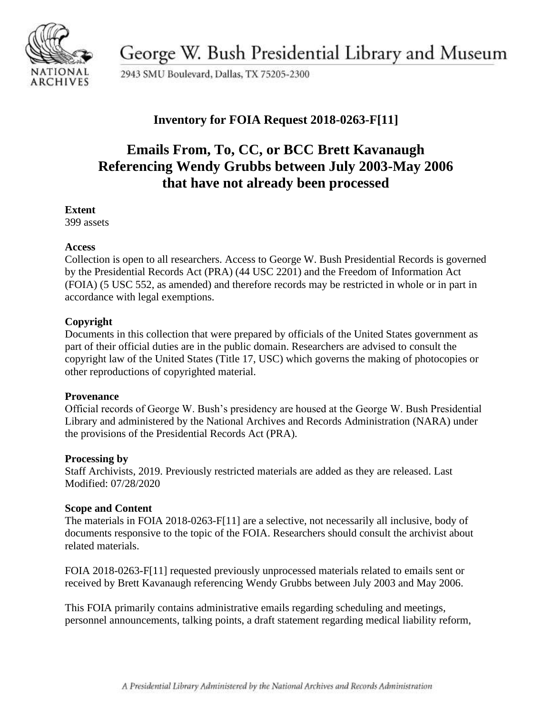

George W. Bush Presidential Library and Museum

2943 SMU Boulevard, Dallas, TX 75205-2300

# **Inventory for FOIA Request 2018-0263-F[11]**

# **Emails From, To, CC, or BCC Brett Kavanaugh Referencing Wendy Grubbs between July 2003-May 2006 that have not already been processed**

#### **Extent**

399 assets

### **Access**

Collection is open to all researchers. Access to George W. Bush Presidential Records is governed by the Presidential Records Act (PRA) (44 USC 2201) and the Freedom of Information Act (FOIA) (5 USC 552, as amended) and therefore records may be restricted in whole or in part in accordance with legal exemptions.

## **Copyright**

Documents in this collection that were prepared by officials of the United States government as part of their official duties are in the public domain. Researchers are advised to consult the copyright law of the United States (Title 17, USC) which governs the making of photocopies or other reproductions of copyrighted material.

#### **Provenance**

 Official records of George W. Bush's presidency are housed at the George W. Bush Presidential Library and administered by the National Archives and Records Administration (NARA) under the provisions of the Presidential Records Act (PRA).

#### **Processing by**

Staff Archivists, 2019. Previously restricted materials are added as they are released. Last Modified: 07/28/2020

## **Scope and Content**

The materials in FOIA 2018-0263-F[11] are a selective, not necessarily all inclusive, body of documents responsive to the topic of the FOIA. Researchers should consult the archivist about related materials.

FOIA 2018-0263-F[11] requested previously unprocessed materials related to emails sent or received by Brett Kavanaugh referencing Wendy Grubbs between July 2003 and May 2006.

This FOIA primarily contains administrative emails regarding scheduling and meetings, personnel announcements, talking points, a draft statement regarding medical liability reform,